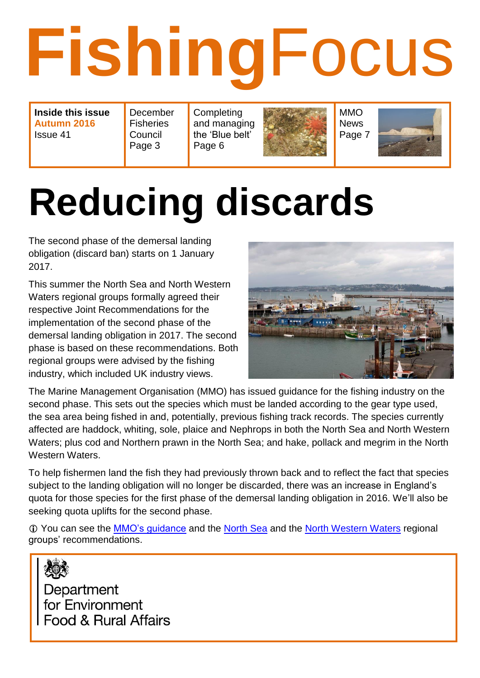# **Fishing**Focus

**Inside this issue Autumn 2016** Issue 41

December **Fisheries** Council Page 3 **Completing** and managing the 'Blue belt' Page 6



MMO News Page 7



# **Reducing discards**

The second phase of the demersal landing obligation (discard ban) starts on 1 January 2017.

This summer the North Sea and North Western Waters regional groups formally agreed their respective Joint Recommendations for the implementation of the second phase of the demersal landing obligation in 2017. The second phase is based on these recommendations. Both regional groups were advised by the fishing industry, which included UK industry views.



The Marine Management Organisation (MMO) has issued guidance for the fishing industry on the second phase. This sets out the species which must be landed according to the gear type used, the sea area being fished in and, potentially, previous fishing track records. The species currently affected are haddock, whiting, sole, plaice and Nephrops in both the North Sea and North Western Waters; plus cod and Northern prawn in the North Sea; and hake, pollack and megrim in the North Western Waters.

To help fishermen land the fish they had previously thrown back and to reflect the fact that species subject to the landing obligation will no longer be discarded, there was an increase in England's quota for those species for the first phase of the demersal landing obligation in 2016. We'll also be seeking quota uplifts for the second phase.

 You can see the [MMO's guidance](https://www.gov.uk/government/collections/fisheries-management-landing-obligation) and the [North Sea](http://nffo.org.uk/news/north-sea-discard-plan-for-2017.html) and the [North Western Waters](http://nffo.org.uk/news/north-western-waters-discard-plan-for-2017.html) regional groups' recommendations.



Department for Environment Food & Rural Affairs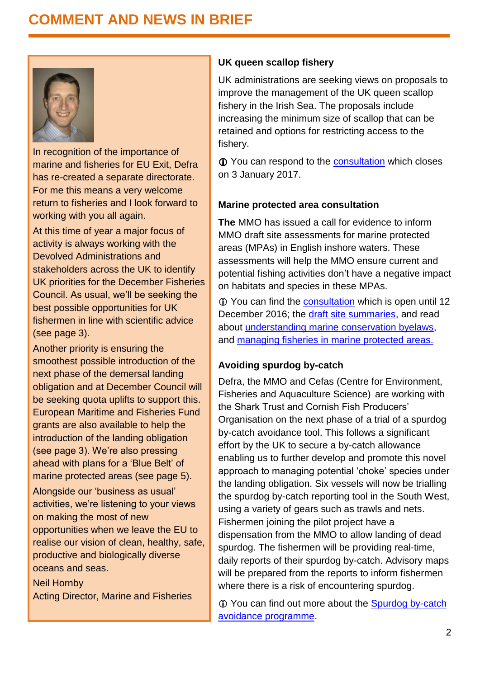#### **COMMENT AND NEWS IN BRIEF**



In recognition of the importance of marine and fisheries for EU Exit, Defra has re-created a separate directorate. For me this means a very welcome return to fisheries and I look forward to working with you all again.

At this time of year a major focus of activity is always working with the Devolved Administrations and stakeholders across the UK to identify UK priorities for the December Fisheries Council. As usual, we'll be seeking the best possible opportunities for UK fishermen in line with scientific advice (see page 3).

Another priority is ensuring the smoothest possible introduction of the next phase of the demersal landing obligation and at December Council will be seeking quota uplifts to support this. European Maritime and Fisheries Fund grants are also available to help the introduction of the landing obligation (see page 3). We're also pressing ahead with plans for a 'Blue Belt' of marine protected areas (see page 5). Alongside our 'business as usual'

activities, we're listening to your views on making the most of new opportunities when we leave the EU to realise our vision of clean, healthy, safe, productive and biologically diverse oceans and seas.

Neil Hornby Acting Director, Marine and Fisheries

#### **UK queen scallop fishery**

UK administrations are seeking views on proposals to improve the management of the UK queen scallop fishery in the Irish Sea. The proposals include increasing the minimum size of scallop that can be retained and options for restricting access to the fishery.

**T** You can respond to the [consultation](https://consult.scotland.gov.uk/marine-scotland/queen-scallop-consultation) which closes on 3 January 2017.

#### **Marine protected area consultation**

**The** MMO has issued a call for evidence to inform MMO draft site assessments for marine protected areas (MPAs) in English inshore waters. These assessments will help the MMO ensure current and potential fishing activities don't have a negative impact on habitats and species in these MPAs.

 You can find the [consultation](https://consult.defra.gov.uk/mmo/call-for-evidence-on-marine-protected-area-assessm) which is open until 12 December 2016; the [draft site summaries,](https://www.gov.uk/government/publications/managing-fisheries-in-mpas-draft-site-summaries) and read about [understanding marine conservation byelaws,](https://www.gov.uk/guidance/marine-conservation-byelaws) and [managing fisheries in marine protected areas.](https://www.gov.uk/government/collections/managing-fisheries-in-marine-protected-areas)

#### **Avoiding spurdog by-catch**

Defra, the MMO and Cefas (Centre for Environment, Fisheries and Aquaculture Science) are working with the Shark Trust and Cornish Fish Producers' Organisation on the next phase of a trial of a spurdog by-catch avoidance tool. This follows a significant effort by the UK to secure a by-catch allowance enabling us to further develop and promote this novel approach to managing potential 'choke' species under the landing obligation. Six vessels will now be trialling the spurdog by-catch reporting tool in the South West, using a variety of gears such as trawls and nets. Fishermen joining the pilot project have a dispensation from the MMO to allow landing of dead spurdog. The fishermen will be providing real-time, daily reports of their spurdog by-catch. Advisory maps will be prepared from the reports to inform fishermen where there is a risk of encountering spurdog.

 You can find out more about the [Spurdog by-catch](https://www.gov.uk/government/news/spurdog-picked-dogfish-by-catch-avoidance-programme)  [avoidance programme.](https://www.gov.uk/government/news/spurdog-picked-dogfish-by-catch-avoidance-programme)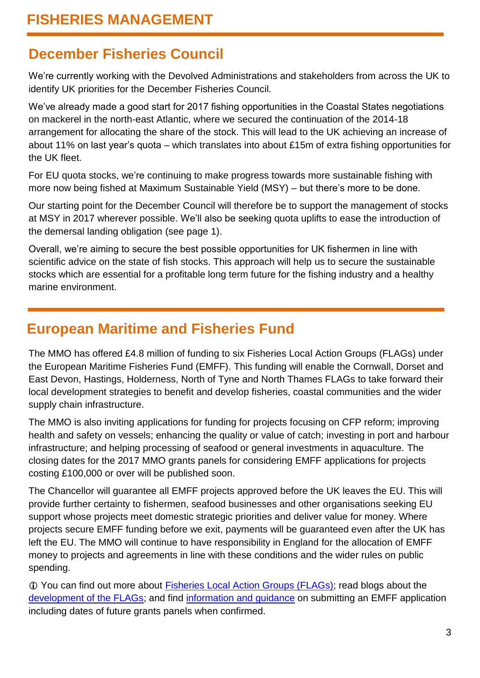#### **December Fisheries Council**

We're currently working with the Devolved Administrations and stakeholders from across the UK to identify UK priorities for the December Fisheries Council.

We've already made a good start for 2017 fishing opportunities in the Coastal States negotiations on mackerel in the north-east Atlantic, where we secured the continuation of the 2014-18 arrangement for allocating the share of the stock. This will lead to the UK achieving an increase of about 11% on last year's quota – which translates into about £15m of extra fishing opportunities for the UK fleet.

For EU quota stocks, we're continuing to make progress towards more sustainable fishing with more now being fished at Maximum Sustainable Yield (MSY) – but there's more to be done.

Our starting point for the December Council will therefore be to support the management of stocks at MSY in 2017 wherever possible. We'll also be seeking quota uplifts to ease the introduction of the demersal landing obligation (see page 1).

Overall, we're aiming to secure the best possible opportunities for UK fishermen in line with scientific advice on the state of fish stocks. This approach will help us to secure the sustainable stocks which are essential for a profitable long term future for the fishing industry and a healthy marine environment.

#### **European Maritime and Fisheries Fund**

The MMO has offered £4.8 million of funding to six Fisheries Local Action Groups (FLAGs) under the European Maritime Fisheries Fund (EMFF). This funding will enable the Cornwall, Dorset and East Devon, Hastings, Holderness, North of Tyne and North Thames FLAGs to take forward their local development strategies to benefit and develop fisheries, coastal communities and the wider supply chain infrastructure.

The MMO is also inviting applications for funding for projects focusing on CFP reform; improving health and safety on vessels; enhancing the quality or value of catch; investing in port and harbour infrastructure; and helping processing of seafood or general investments in aquaculture. The closing dates for the 2017 MMO grants panels for considering EMFF applications for projects costing £100,000 or over will be published soon.

The Chancellor will guarantee all EMFF projects approved before the UK leaves the EU. This will provide further certainty to fishermen, seafood businesses and other organisations seeking EU support whose projects meet domestic strategic priorities and deliver value for money. Where projects secure EMFF funding before we exit, payments will be guaranteed even after the UK has left the EU. The MMO will continue to have responsibility in England for the allocation of EMFF money to projects and agreements in line with these conditions and the wider rules on public spending.

 You can find out more about [Fisheries Local Action Groups \(FLAGs\);](https://www.gov.uk/guidance/european-maritime-and-fisheries-fund-emff-fisheries-local-action-groups-flags) read blogs about the [development of the FLAGs;](https://marinedevelopments.blog.gov.uk/page/3/) and find [information and guidance](https://www.gov.uk/guidance/european-maritime-and-fisheries-fund-emff-apply-for-funding) on submitting an EMFF application including dates of future grants panels when confirmed.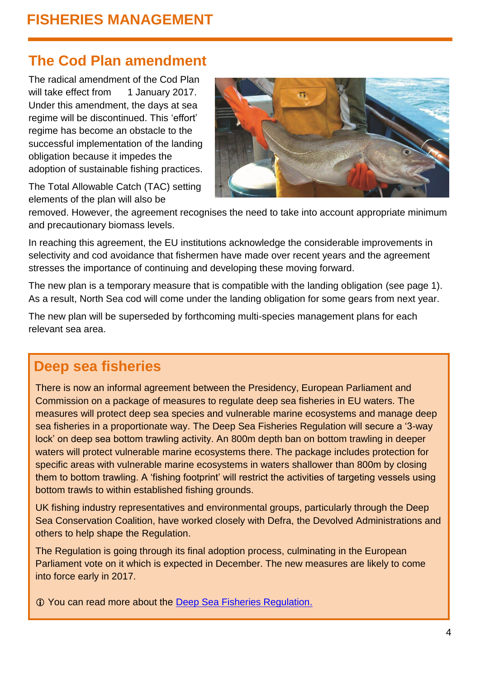#### **The Cod Plan amendment**

The radical amendment of the Cod Plan will take effect from 1 January 2017. Under this amendment, the days at sea regime will be discontinued. This 'effort' regime has become an obstacle to the successful implementation of the landing obligation because it impedes the adoption of sustainable fishing practices.

The Total Allowable Catch (TAC) setting elements of the plan will also be



removed. However, the agreement recognises the need to take into account appropriate minimum and precautionary biomass levels.

In reaching this agreement, the EU institutions acknowledge the considerable improvements in selectivity and cod avoidance that fishermen have made over recent years and the agreement stresses the importance of continuing and developing these moving forward.

The new plan is a temporary measure that is compatible with the landing obligation (see page 1). As a result, North Sea cod will come under the landing obligation for some gears from next year.

The new plan will be superseded by forthcoming multi-species management plans for each relevant sea area.

#### **Deep sea fisheries**

There is now an informal agreement between the Presidency, European Parliament and Commission on a package of measures to regulate deep sea fisheries in EU waters. The measures will protect deep sea species and vulnerable marine ecosystems and manage deep sea fisheries in a proportionate way. The Deep Sea Fisheries Regulation will secure a '3-way lock' on deep sea bottom trawling activity. An 800m depth ban on bottom trawling in deeper waters will protect vulnerable marine ecosystems there. The package includes protection for specific areas with vulnerable marine ecosystems in waters shallower than 800m by closing them to bottom trawling. A 'fishing footprint' will restrict the activities of targeting vessels using bottom trawls to within established fishing grounds.

UK fishing industry representatives and environmental groups, particularly through the Deep Sea Conservation Coalition, have worked closely with Defra, the Devolved Administrations and others to help shape the Regulation.

The Regulation is going through its final adoption process, culminating in the European Parliament vote on it which is expected in December. The new measures are likely to come into force early in 2017.

You can read more about the [Deep Sea Fisheries Regulation.](http://ec.europa.eu/information_society/newsroom/cf/mare/itemlongdetail.cfm?item_id=32668&subweb=343&lang=en)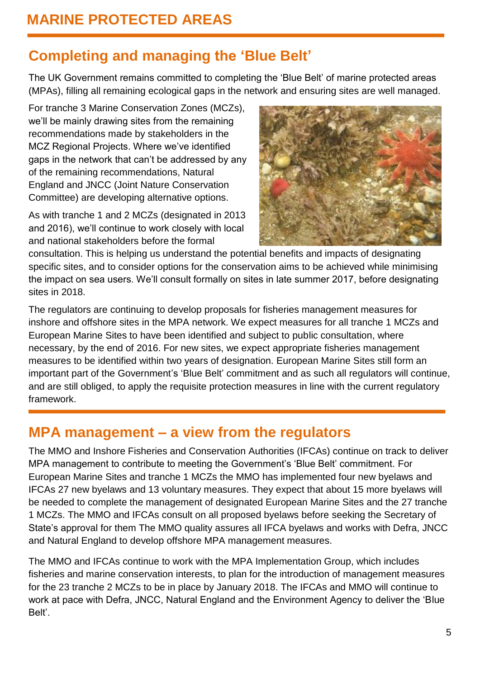## **Completing and managing the 'Blue Belt'**

The UK Government remains committed to completing the 'Blue Belt' of marine protected areas (MPAs), filling all remaining ecological gaps in the network and ensuring sites are well managed.

For tranche 3 Marine Conservation Zones (MCZs), we'll be mainly drawing sites from the remaining recommendations made by stakeholders in the MCZ Regional Projects. Where we've identified gaps in the network that can't be addressed by any of the remaining recommendations, Natural England and JNCC (Joint Nature Conservation Committee) are developing alternative options.

As with tranche 1 and 2 MCZs (designated in 2013 and 2016), we'll continue to work closely with local and national stakeholders before the formal



consultation. This is helping us understand the potential benefits and impacts of designating specific sites, and to consider options for the conservation aims to be achieved while minimising the impact on sea users. We'll consult formally on sites in late summer 2017, before designating sites in 2018.

The regulators are continuing to develop proposals for fisheries management measures for inshore and offshore sites in the MPA network. We expect measures for all tranche 1 MCZs and European Marine Sites to have been identified and subject to public consultation, where necessary, by the end of 2016. For new sites, we expect appropriate fisheries management measures to be identified within two years of designation. European Marine Sites still form an important part of the Government's 'Blue Belt' commitment and as such all regulators will continue, and are still obliged, to apply the requisite protection measures in line with the current regulatory framework.

#### **MPA management – a view from the regulators**

The MMO and Inshore Fisheries and Conservation Authorities (IFCAs) continue on track to deliver MPA management to contribute to meeting the Government's 'Blue Belt' commitment. For European Marine Sites and tranche 1 MCZs the MMO has implemented four new byelaws and IFCAs 27 new byelaws and 13 voluntary measures. They expect that about 15 more byelaws will be needed to complete the management of designated European Marine Sites and the 27 tranche 1 MCZs. The MMO and IFCAs consult on all proposed byelaws before seeking the Secretary of State's approval for them The MMO quality assures all IFCA byelaws and works with Defra, JNCC and Natural England to develop offshore MPA management measures.

The MMO and IFCAs continue to work with the MPA Implementation Group, which includes fisheries and marine conservation interests, to plan for the introduction of management measures for the 23 tranche 2 MCZs to be in place by January 2018. The IFCAs and MMO will continue to work at pace with Defra, JNCC, Natural England and the Environment Agency to deliver the 'Blue Belt'.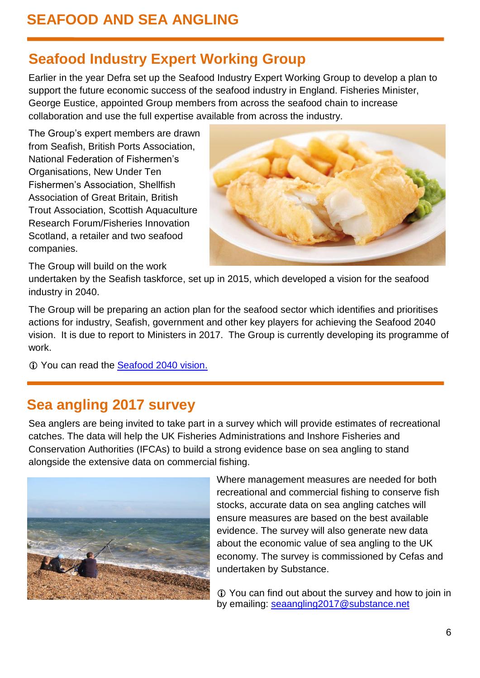# **Seafood Industry Expert Working Group**

Earlier in the year Defra set up the Seafood Industry Expert Working Group to develop a plan to support the future economic success of the seafood industry in England. Fisheries Minister, George Eustice, appointed Group members from across the seafood chain to increase collaboration and use the full expertise available from across the industry.

The Group's expert members are drawn from Seafish, British Ports Association, National Federation of Fishermen's Organisations, New Under Ten Fishermen's Association, Shellfish Association of Great Britain, British Trout Association, Scottish Aquaculture Research Forum/Fisheries Innovation Scotland, a retailer and two seafood companies.



The Group will build on the work

undertaken by the Seafish taskforce, set up in 2015, which developed a vision for the seafood industry in 2040.

The Group will be preparing an action plan for the seafood sector which identifies and prioritises actions for industry, Seafish, government and other key players for achieving the Seafood 2040 vision. It is due to report to Ministers in 2017. The Group is currently developing its programme of work.

You can read the [Seafood 2040 vision.](http://www.seafish.org/about-seafish/news-and-events/news/seafood-2040-strategy-for-england)

#### **Sea angling 2017 survey**

Sea anglers are being invited to take part in a survey which will provide estimates of recreational catches. The data will help the UK Fisheries Administrations and Inshore Fisheries and Conservation Authorities (IFCAs) to build a strong evidence base on sea angling to stand alongside the extensive data on commercial fishing.



Where management measures are needed for both recreational and commercial fishing to conserve fish stocks, accurate data on sea angling catches will ensure measures are based on the best available evidence. The survey will also generate new data about the economic value of sea angling to the UK economy. The survey is commissioned by Cefas and undertaken by Substance.

 You can find out about the survey and how to join in by emailing: [seaangling2017@substance.net](mailto:seaangling2017@substance.net)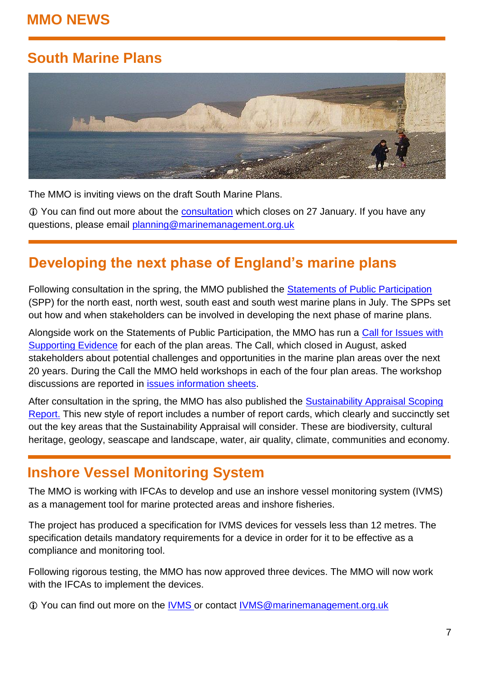#### **MMO NEWS**

# **South Marine Plans**



The MMO is inviting views on the draft South Marine Plans.

 You can find out more about the [consultation](https://www.gov.uk/government/collections/south-marine-plans) which closes on 27 January. If you have any questions, please email [planning@marinemanagement.org.uk](mailto:planning@marinemanagement.org.uk)

## **Developing the next phase of England's marine plans**

Following consultation in the spring, the MMO published the [Statements of Public Participation](https://www.gov.uk/government/publications/statement-of-public-participation-north-east-north-west-south-east-and-south-west) (SPP) for the north east, north west, south east and south west marine plans in July. The SPPs set out how and when stakeholders can be involved in developing the next phase of marine plans.

Alongside work on the Statements of Public Participation, the MMO has run a [Call for Issues with](https://www.gov.uk/government/news/call-for-issues-with-supporting-evidence-for-next-phase-of-marine-planning-launched)  [Supporting Evidence](https://www.gov.uk/government/news/call-for-issues-with-supporting-evidence-for-next-phase-of-marine-planning-launched) for each of the plan areas. The Call, which closed in August, asked stakeholders about potential challenges and opportunities in the marine plan areas over the next 20 years. During the Call the MMO held workshops in each of the four plan areas. The workshop discussions are reported in [issues information sheets.](https://www.gov.uk/government/collections/marine-planning-issues-information-sheets)

After consultation in the spring, the MMO has also published the Sustainability Appraisal Scoping [Report.](https://www.gov.uk/government/publications/sustainability-appraisal-scoping-report-north-east-north-west-south-east-south-west-marine-plans) This new style of report includes a number of report cards, which clearly and succinctly set out the key areas that the Sustainability Appraisal will consider. These are biodiversity, cultural heritage, geology, seascape and landscape, water, air quality, climate, communities and economy.

#### **Inshore Vessel Monitoring System**

The MMO is working with IFCAs to develop and use an inshore vessel monitoring system (IVMS) as a management tool for marine protected areas and inshore fisheries.

The project has produced a specification for IVMS devices for vessels less than 12 metres. The specification details mandatory requirements for a device in order for it to be effective as a compliance and monitoring tool.

Following rigorous testing, the MMO has now approved three devices. The MMO will now work with the IFCAs to implement the devices.

You can find out more on the [IVMS](https://www.gov.uk/government/publications/inshore-vessel-monitoring-system-ivms) or contact [IVMS@marinemanagement.org.uk](mailto:IVMS@marinemanagement.org.uk)